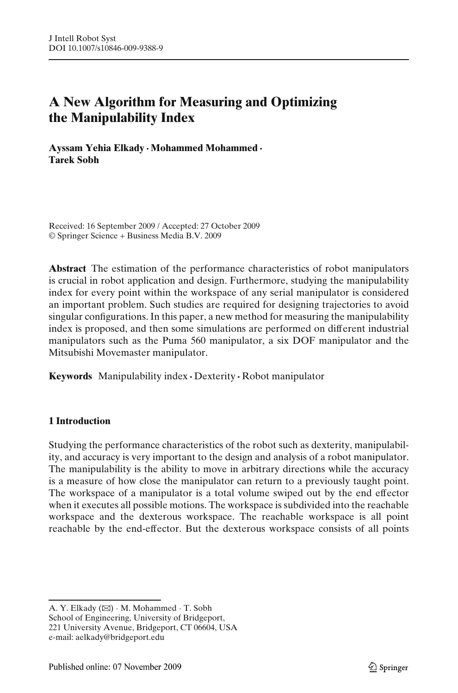# **A New Algorithm for Measuring and Optimizing the Manipulability Index**

**Ayssam Yehia Elkady · Mohammed Mohammed · Tarek Sobh**

Received: 16 September 2009 / Accepted: 27 October 2009 © Springer Science + Business Media B.V. 2009

**Abstract** The estimation of the performance characteristics of robot manipulators is crucial in robot application and design. Furthermore, studying the manipulability index for every point within the workspace of any serial manipulator is considered an important problem. Such studies are required for designing trajectories to avoid singular configurations. In this paper, a new method for measuring the manipulability index is proposed, and then some simulations are performed on different industrial manipulators such as the Puma 560 manipulator, a six DOF manipulator and the Mitsubishi Movemaster manipulator.

**Keywords** Manipulability index **·** Dexterity **·** Robot manipulator

# **1 Introduction**

Studying the performance characteristics of the robot such as dexterity, manipulability, and accuracy is very important to the design and analysis of a robot manipulator. The manipulability is the ability to move in arbitrary directions while the accuracy is a measure of how close the manipulator can return to a previously taught point. The workspace of a manipulator is a total volume swiped out by the end effector when it executes all possible motions. The workspace is subdivided into the reachable workspace and the dexterous workspace. The reachable workspace is all point reachable by the end-effector. But the dexterous workspace consists of all points

A. Y. Elkady ( $\boxtimes$ ) · M. Mohammed · T. Sobh

School of Engineering, University of Bridgeport,

221 University Avenue, Bridgeport, CT 06604, USA

e-mail: aelkady@bridgeport.edu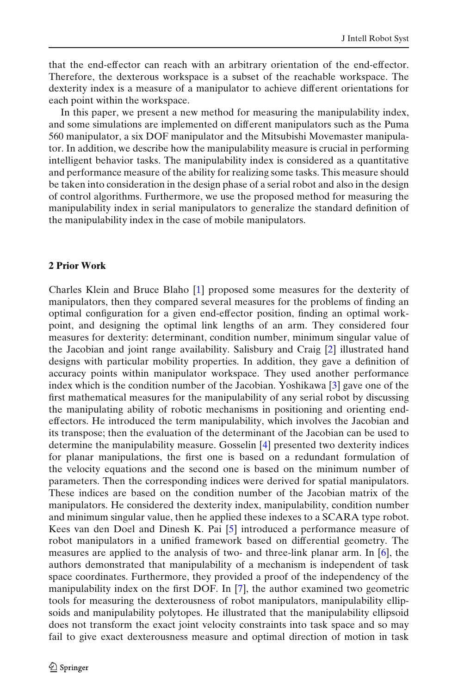that the end-effector can reach with an arbitrary orientation of the end-effector. Therefore, the dexterous workspace is a subset of the reachable workspace. The dexterity index is a measure of a manipulator to achieve different orientations for each point within the workspace.

In this paper, we present a new method for measuring the manipulability index, and some simulations are implemented on different manipulators such as the Puma 560 manipulator, a six DOF manipulator and the Mitsubishi Movemaster manipulator. In addition, we describe how the manipulability measure is crucial in performing intelligent behavior tasks. The manipulability index is considered as a quantitative and performance measure of the ability for realizing some tasks. This measure should be taken into consideration in the design phase of a serial robot and also in the design of control algorithms. Furthermore, we use the proposed method for measuring the manipulability index in serial manipulators to generalize the standard definition of the manipulability index in the case of mobile manipulators.

#### **2 Prior Work**

Charles Klein and Bruce Blaho [\[1](#page-11-0)] proposed some measures for the dexterity of manipulators, then they compared several measures for the problems of finding an optimal configuration for a given end-effector position, finding an optimal workpoint, and designing the optimal link lengths of an arm. They considered four measures for dexterity: determinant, condition number, minimum singular value of the Jacobian and joint range availability. Salisbury and Craig [\[2\]](#page-11-0) illustrated hand designs with particular mobility properties. In addition, they gave a definition of accuracy points within manipulator workspace. They used another performance index which is the condition number of the Jacobian. Yoshikawa [\[3\]](#page-11-0) gave one of the first mathematical measures for the manipulability of any serial robot by discussing the manipulating ability of robotic mechanisms in positioning and orienting endeffectors. He introduced the term manipulability, which involves the Jacobian and its transpose; then the evaluation of the determinant of the Jacobian can be used to determine the manipulability measure. Gosselin [\[4\]](#page-11-0) presented two dexterity indices for planar manipulations, the first one is based on a redundant formulation of the velocity equations and the second one is based on the minimum number of parameters. Then the corresponding indices were derived for spatial manipulators. These indices are based on the condition number of the Jacobian matrix of the manipulators. He considered the dexterity index, manipulability, condition number and minimum singular value, then he applied these indexes to a SCARA type robot. Kees van den Doel and Dinesh K. Pai [\[5\]](#page-11-0) introduced a performance measure of robot manipulators in a unified framework based on differential geometry. The measures are applied to the analysis of two- and three-link planar arm. In [\[6\]](#page-11-0), the authors demonstrated that manipulability of a mechanism is independent of task space coordinates. Furthermore, they provided a proof of the independency of the manipulability index on the first DOF. In [\[7](#page-11-0)], the author examined two geometric tools for measuring the dexterousness of robot manipulators, manipulability ellipsoids and manipulability polytopes. He illustrated that the manipulability ellipsoid does not transform the exact joint velocity constraints into task space and so may fail to give exact dexterousness measure and optimal direction of motion in task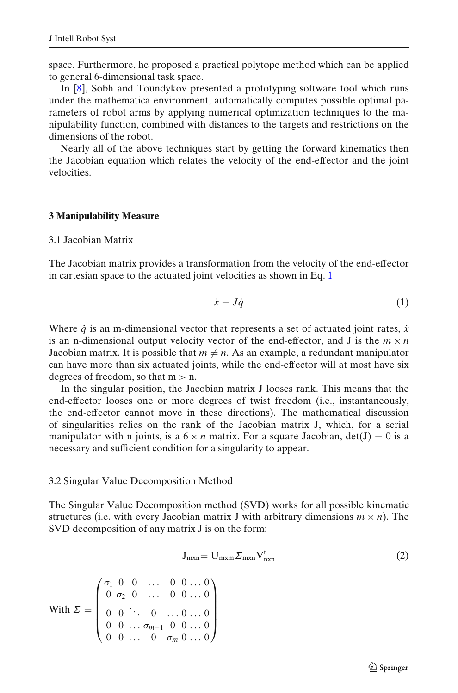<span id="page-2-0"></span>space. Furthermore, he proposed a practical polytope method which can be applied to general 6-dimensional task space.

In [\[8\]](#page-11-0), Sobh and Toundykov presented a prototyping software tool which runs under the mathematica environment, automatically computes possible optimal parameters of robot arms by applying numerical optimization techniques to the manipulability function, combined with distances to the targets and restrictions on the dimensions of the robot.

Nearly all of the above techniques start by getting the forward kinematics then the Jacobian equation which relates the velocity of the end-effector and the joint velocities.

#### **3 Manipulability Measure**

#### 3.1 Jacobian Matrix

The Jacobian matrix provides a transformation from the velocity of the end-effector in cartesian space to the actuated joint velocities as shown in Eq. 1

$$
\dot{x} = J\dot{q} \tag{1}
$$

Where  $\dot{q}$  is an m-dimensional vector that represents a set of actuated joint rates,  $\dot{x}$ is an n-dimensional output velocity vector of the end-effector, and J is the  $m \times n$ Jacobian matrix. It is possible that  $m \neq n$ . As an example, a redundant manipulator can have more than six actuated joints, while the end-effector will at most have six degrees of freedom, so that  $m > n$ .

In the singular position, the Jacobian matrix J looses rank. This means that the end-effector looses one or more degrees of twist freedom (i.e., instantaneously, the end-effector cannot move in these directions). The mathematical discussion of singularities relies on the rank of the Jacobian matrix J, which, for a serial manipulator with n joints, is a  $6 \times n$  matrix. For a square Jacobian, det(J) = 0 is a necessary and sufficient condition for a singularity to appear.

#### 3.2 Singular Value Decomposition Method

The Singular Value Decomposition method (SVD) works for all possible kinematic structures (i.e. with every Jacobian matrix J with arbitrary dimensions  $m \times n$ ). The SVD decomposition of any matrix J is on the form:

$$
J_{mxn} = U_{mxn} \Sigma_{mxn} V_{nxn}^t \tag{2}
$$

With 
$$
\Sigma = \begin{pmatrix} \sigma_1 & 0 & 0 & \dots & 0 & 0 & \dots & 0 \\ 0 & \sigma_2 & 0 & \dots & 0 & 0 & \dots & 0 \\ 0 & 0 & \ddots & 0 & \dots & 0 & \dots & 0 \\ 0 & 0 & \dots & \sigma_{m-1} & 0 & 0 & \dots & 0 \\ 0 & 0 & \dots & 0 & \sigma_m & 0 & \dots & 0 \end{pmatrix}
$$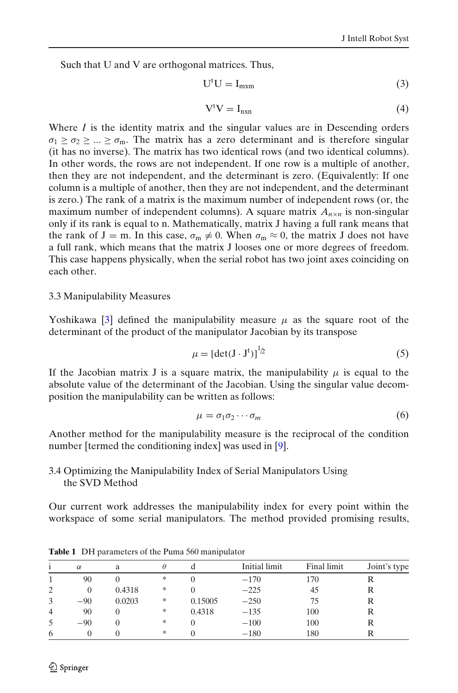<span id="page-3-0"></span>Such that U and V are orthogonal matrices. Thus,

$$
U^{\dagger}U = I_{mxm} \tag{3}
$$

$$
V^{\dagger}V = I_{nxn} \tag{4}
$$

Where *I* is the identity matrix and the singular values are in Descending orders  $\sigma_1 \geq \sigma_2 \geq ... \geq \sigma_m$ . The matrix has a zero determinant and is therefore singular (it has no inverse). The matrix has two identical rows (and two identical columns). In other words, the rows are not independent. If one row is a multiple of another, then they are not independent, and the determinant is zero. (Equivalently: If one column is a multiple of another, then they are not independent, and the determinant is zero.) The rank of a matrix is the maximum number of independent rows (or, the maximum number of independent columns). A square matrix  $A_{n \times n}$  is non-singular only if its rank is equal to n. Mathematically, matrix J having a full rank means that the rank of J = m. In this case,  $\sigma_m \neq 0$ . When  $\sigma_m \approx 0$ , the matrix J does not have a full rank, which means that the matrix J looses one or more degrees of freedom. This case happens physically, when the serial robot has two joint axes coinciding on each other.

#### 3.3 Manipulability Measures

Yoshikawa [\[3](#page-11-0)] defined the manipulability measure  $\mu$  as the square root of the determinant of the product of the manipulator Jacobian by its transpose

$$
\mu = \left[ \det(\mathbf{J} \cdot \mathbf{J}^{\mathsf{t}}) \right]^{1/2} \tag{5}
$$

If the Jacobian matrix J is a square matrix, the manipulability  $\mu$  is equal to the absolute value of the determinant of the Jacobian. Using the singular value decomposition the manipulability can be written as follows:

$$
\mu = \sigma_1 \sigma_2 \cdots \sigma_m \tag{6}
$$

Another method for the manipulability measure is the reciprocal of the condition number [termed the conditioning index] was used in [\[9\]](#page-11-0).

3.4 Optimizing the Manipulability Index of Serial Manipulators Using the SVD Method

Our current work addresses the manipulability index for every point within the workspace of some serial manipulators. The method provided promising results,

|                | $\mathbf{r}$ |        |   | $\mathbf{r}$ |               |             |              |
|----------------|--------------|--------|---|--------------|---------------|-------------|--------------|
|                | $\alpha$     |        | Н |              | Initial limit | Final limit | Joint's type |
|                | 90           |        | * |              | $-170$        | 170         | R            |
| 2              |              | 0.4318 | * |              | $-225$        | 45          |              |
| 3              | $-90$        | 0.0203 | * | 0.15005      | $-250$        | 75          |              |
| $\overline{4}$ | 90           |        | * | 0.4318       | $-135$        | 100         |              |
| 5              | $-90$        |        | * |              | $-100$        | 100         | R            |
| 6              |              |        | * |              | $-180$        | 180         |              |

**Table 1** DH parameters of the Puma 560 manipulator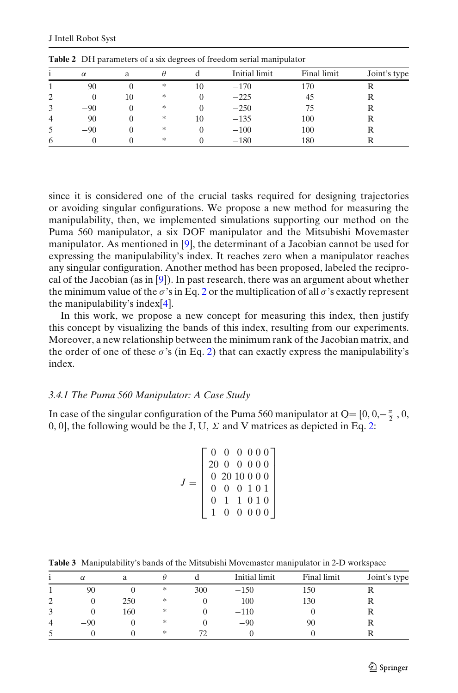|                | $\overline{ }$ |    | ີ |    | $\cdot$       |             |              |
|----------------|----------------|----|---|----|---------------|-------------|--------------|
|                | $\alpha$       | а  | H |    | Initial limit | Final limit | Joint's type |
|                | 90             |    | * | 10 | $-170$        | 170         |              |
| 2              |                | 10 | * |    | $-225$        | 45          |              |
| 3              | $-90$          |    | * |    | $-250$        | 75          |              |
| $\overline{4}$ | 90             |    | * | 10 | $-135$        | 100         |              |
|                | $-90$          |    | * |    | $-100$        | 100         |              |
| 6              |                |    | * |    | $-180$        | 180         |              |

<span id="page-4-0"></span>**Table 2** DH parameters of a six degrees of freedom serial manipulator

since it is considered one of the crucial tasks required for designing trajectories or avoiding singular configurations. We propose a new method for measuring the manipulability, then, we implemented simulations supporting our method on the Puma 560 manipulator, a six DOF manipulator and the Mitsubishi Movemaster manipulator. As mentioned in [\[9\]](#page-11-0), the determinant of a Jacobian cannot be used for expressing the manipulability's index. It reaches zero when a manipulator reaches any singular configuration. Another method has been proposed, labeled the reciprocal of the Jacobian (as in [\[9](#page-11-0)]). In past research, there was an argument about whether the minimum value of the  $\sigma$ 's in Eq. [2](#page-2-0) or the multiplication of all  $\sigma$ 's exactly represent the manipulability's index[\[4](#page-11-0)].

In this work, we propose a new concept for measuring this index, then justify this concept by visualizing the bands of this index, resulting from our experiments. Moreover, a new relationship between the minimum rank of the Jacobian matrix, and the order of one of these  $\sigma$ 's (in Eq. [2\)](#page-2-0) that can exactly express the manipulability's index.

## *3.4.1 The Puma 560 Manipulator: A Case Study*

In case of the singular configuration of the Puma 560 manipulator at Q=  $[0, 0, -\frac{\pi}{2}, 0,$ 0, 0], the following would be the J, U,  $\Sigma$  and V matrices as depicted in Eq. [2:](#page-2-0)

$$
J = \begin{bmatrix} 0 & 0 & 0 & 0 & 0 & 0 \\ 20 & 0 & 0 & 0 & 0 & 0 \\ 0 & 20 & 10 & 0 & 0 & 0 \\ 0 & 0 & 0 & 1 & 0 & 1 \\ 0 & 1 & 1 & 0 & 1 & 0 \\ 1 & 0 & 0 & 0 & 0 & 0 \end{bmatrix}
$$

**Table 3** Manipulability's bands of the Mitsubishi Movemaster manipulator in 2-D workspace

|                | $\alpha$ |     |   |     | Initial limit | Final limit | Joint's type |
|----------------|----------|-----|---|-----|---------------|-------------|--------------|
|                | 90       |     | * | 300 | $-150$        | 150         |              |
| 2              |          | 250 | * |     | 100           | 130         |              |
| 3              |          | 160 | * |     | $-110$        |             |              |
| $\overline{4}$ | $-90$    |     | * |     | $-90$         | 90          |              |
|                |          |     | * |     |               |             |              |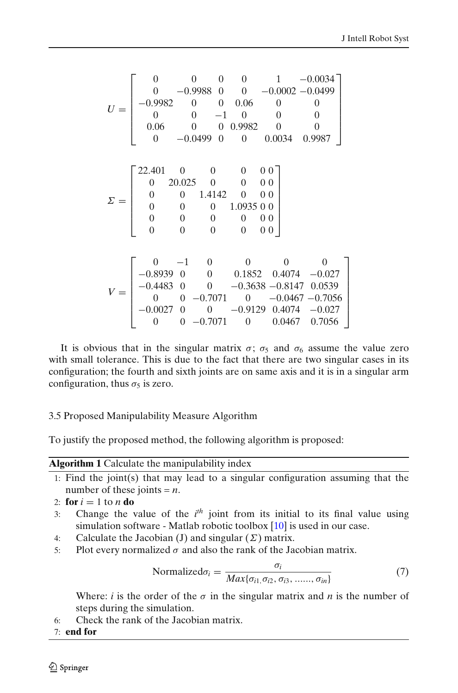$$
U = \begin{bmatrix} 0 & 0 & 0 & 0 & 1 & -0.0034 \\ 0 & -0.9988 & 0 & 0 & -0.0002 & -0.0499 \\ -0.9982 & 0 & 0 & 0.06 & 0 & 0 \\ 0 & 0 & -1 & 0 & 0 & 0 \\ 0.06 & 0 & 0 & 0.9982 & 0 & 0 \\ 0 & -0.0499 & 0 & 0 & 0.0034 & 0.9987 \end{bmatrix}
$$

$$
\Sigma = \begin{bmatrix} 22.401 & 0 & 0 & 0 & 0 \\ 0 & 20.025 & 0 & 0 & 0 & 0 \\ 0 & 0 & 1.4142 & 0 & 0 & 0 \\ 0 & 0 & 0 & 1.0935 & 0 & 0 \\ 0 & 0 & 0 & 0 & 0 & 0 \end{bmatrix}
$$

$$
V = \begin{bmatrix} 0 & -1 & 0 & 0 & 0 & 0 \\ -0.8939 & 0 & 0 & 0.1852 & 0.4074 & -0.027 \\ -0.4483 & 0 & 0 & -0.3638 & -0.8147 & 0.0539 \\ 0 & 0 & -0.7071 & 0 & -0.0467 & -0.7056 \\ -0.0027 & 0 & 0 & -0.9129 & 0.4074 & -0.027 \\ 0 & 0 & -0.7071 & 0 & 0.0467 & 0.7056 \end{bmatrix}
$$

It is obvious that in the singular matrix  $\sigma$ ;  $\sigma_5$  and  $\sigma_6$  assume the value zero with small tolerance. This is due to the fact that there are two singular cases in its configuration; the fourth and sixth joints are on same axis and it is in a singular arm configuration, thus  $\sigma_5$  is zero.

# 3.5 Proposed Manipulability Measure Algorithm

To justify the proposed method, the following algorithm is proposed:

### **Algorithm 1** Calculate the manipulability index

1: Find the joint(s) that may lead to a singular configuration assuming that the number of these joints  $= n$ .

2: **for**  $i = 1$  to *n* **do** 

- 3: Change the value of the  $i<sup>th</sup>$  joint from its initial to its final value using simulation software - Matlab robotic toolbox [\[10](#page-11-0)] is used in our case.
- 4: Calculate the Jacobian (J) and singular  $(\Sigma)$  matrix.
- 5: Plot every normalized  $\sigma$  and also the rank of the Jacobian matrix.

$$
\text{Normalized}\sigma_i = \frac{\sigma_i}{\text{Max}\{\sigma_{i1}, \sigma_{i2}, \sigma_{i3}, \dots, \sigma_{in}\}}\tag{7}
$$

Where: *i* is the order of the  $\sigma$  in the singular matrix and *n* is the number of steps during the simulation.

- 6: Check the rank of the Jacobian matrix.
- 7: **end for**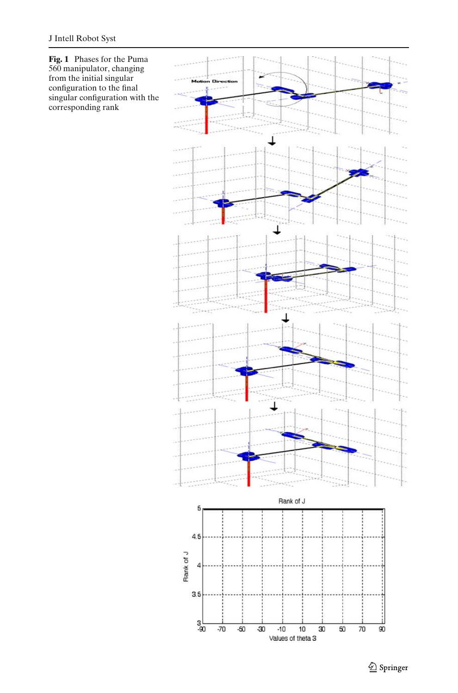<span id="page-6-0"></span>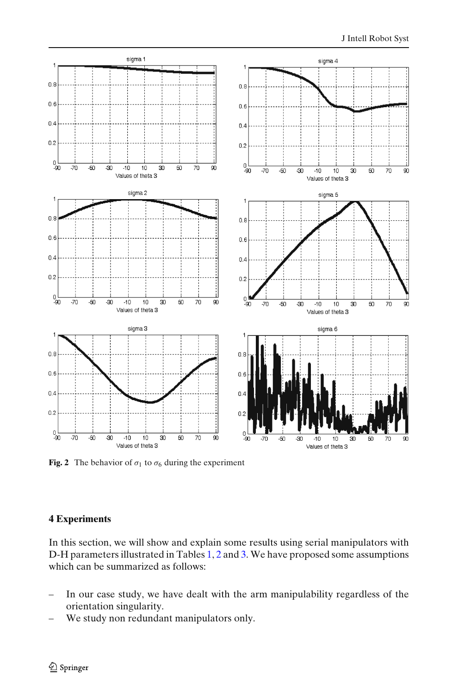<span id="page-7-0"></span>

**Fig. 2** The behavior of  $\sigma_1$  to  $\sigma_6$  during the experiment

## **4 Experiments**

In this section, we will show and explain some results using serial manipulators with D-H parameters illustrated in Tables [1,](#page-3-0) [2](#page-4-0) and [3.](#page-4-0) We have proposed some assumptions which can be summarized as follows:

- In our case study, we have dealt with the arm manipulability regardless of the orientation singularity.
- We study non redundant manipulators only.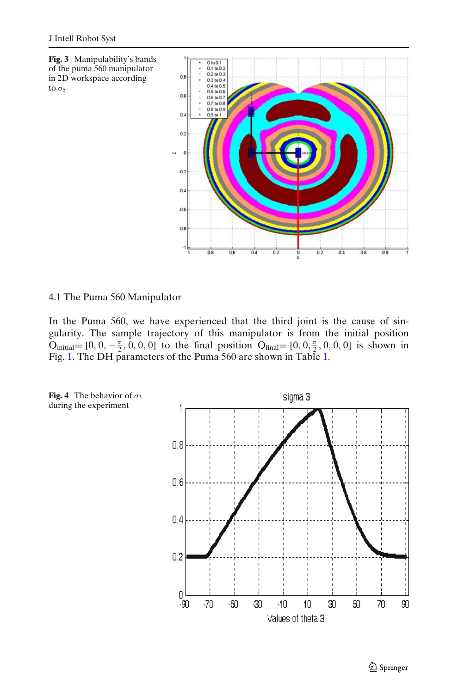<span id="page-8-0"></span>

## 4.1 The Puma 560 Manipulator

In the Puma 560, we have experienced that the third joint is the cause of singularity. The sample trajectory of this manipulator is from the initial position Q<sub>initial</sub> = [0, 0, - $\frac{\pi}{2}$ , 0, 0, 0] to the final position Q<sub>final</sub> = [0, 0,  $\frac{\pi}{2}$ , 0, 0, 0] is shown in Fig. [1.](#page-6-0) The DH parameters of the Puma 560 are shown in Table [1.](#page-3-0)

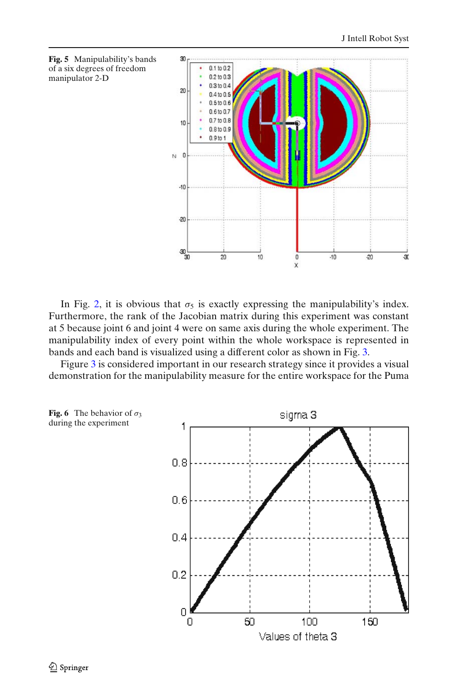<span id="page-9-0"></span>

In Fig. [2,](#page-7-0) it is obvious that  $\sigma_5$  is exactly expressing the manipulability's index. Furthermore, the rank of the Jacobian matrix during this experiment was constant at 5 because joint 6 and joint 4 were on same axis during the whole experiment. The manipulability index of every point within the whole workspace is represented in bands and each band is visualized using a different color as shown in Fig. [3.](#page-8-0)

Figure [3](#page-8-0) is considered important in our research strategy since it provides a visual demonstration for the manipulability measure for the entire workspace for the Puma



 $\mathcal{Q}$  Springer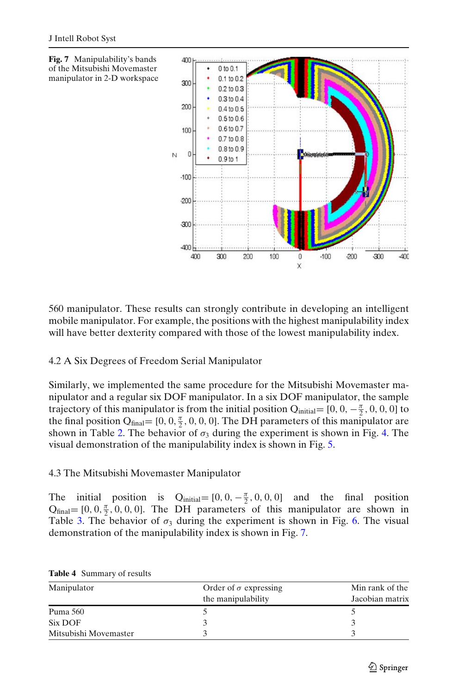

<span id="page-10-0"></span>

560 manipulator. These results can strongly contribute in developing an intelligent mobile manipulator. For example, the positions with the highest manipulability index will have better dexterity compared with those of the lowest manipulability index.

# 4.2 A Six Degrees of Freedom Serial Manipulator

Similarly, we implemented the same procedure for the Mitsubishi Movemaster manipulator and a regular six DOF manipulator. In a six DOF manipulator, the sample trajectory of this manipulator is from the initial position Q<sub>initial</sub> = [0, 0,  $-\frac{\pi}{2}$ , 0, 0, 0] to the final position  $Q_{final} = [0, 0, \frac{\pi}{2}, 0, 0, 0]$ . The DH parameters of this manipulator are shown in Table [2.](#page-4-0) The behavior of  $\sigma_3$  during the experiment is shown in Fig. [4.](#page-8-0) The visual demonstration of the manipulability index is shown in Fig. [5.](#page-9-0)

# 4.3 The Mitsubishi Movemaster Manipulator

The initial position is  $Q_{initial} = [0, 0, -\frac{\pi}{2}, 0, 0, 0]$  and the final position  $Q_{final} = [0, 0, \frac{\pi}{2}, 0, 0, 0]$ . The DH parameters of this manipulator are shown in Table [3.](#page-4-0) The behavior of  $\sigma_3$  during the experiment is shown in Fig. [6.](#page-9-0) The visual demonstration of the manipulability index is shown in Fig. 7.

| Manipulator           | Order of $\sigma$ expressing | Min rank of the |  |
|-----------------------|------------------------------|-----------------|--|
|                       | the manipulability           | Jacobian matrix |  |
| Puma 560              |                              |                 |  |
| Six DOF               |                              |                 |  |
| Mitsubishi Movemaster |                              |                 |  |

| Table 4 Summary of results |  |
|----------------------------|--|
|----------------------------|--|